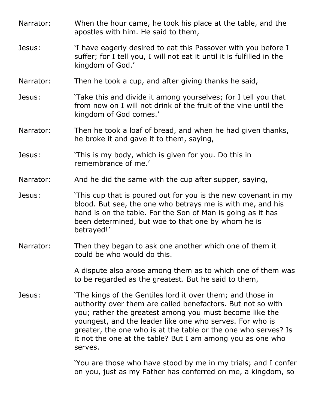- Narrator: When the hour came, he took his place at the table, and the apostles with him. He said to them,
- Jesus: 'I have eagerly desired to eat this Passover with you before I suffer; for I tell you, I will not eat it until it is fulfilled in the kingdom of God.'
- Narrator: Then he took a cup, and after giving thanks he said,
- Jesus: 'Take this and divide it among yourselves; for I tell you that from now on I will not drink of the fruit of the vine until the kingdom of God comes.'
- Narrator: Then he took a loaf of bread, and when he had given thanks, he broke it and gave it to them, saying,
- Jesus: 'This is my body, which is given for you. Do this in remembrance of me.'
- Narrator: And he did the same with the cup after supper, saying,
- Jesus: 'This cup that is poured out for you is the new covenant in my blood. But see, the one who betrays me is with me, and his hand is on the table. For the Son of Man is going as it has been determined, but woe to that one by whom he is betrayed!'
- Narrator: Then they began to ask one another which one of them it could be who would do this.

A dispute also arose among them as to which one of them was to be regarded as the greatest. But he said to them,

Jesus: 'The kings of the Gentiles lord it over them; and those in authority over them are called benefactors. But not so with you; rather the greatest among you must become like the youngest, and the leader like one who serves. For who is greater, the one who is at the table or the one who serves? Is it not the one at the table? But I am among you as one who serves.

> 'You are those who have stood by me in my trials; and I confer on you, just as my Father has conferred on me, a kingdom, so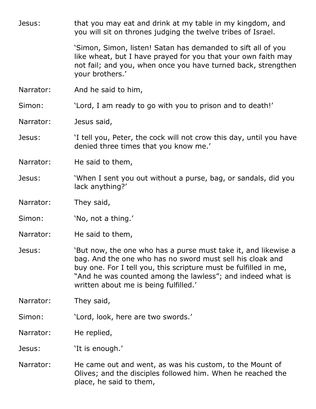| Jesus:    | that you may eat and drink at my table in my kingdom, and<br>you will sit on thrones judging the twelve tribes of Israel.                                                                                                                                                                              |
|-----------|--------------------------------------------------------------------------------------------------------------------------------------------------------------------------------------------------------------------------------------------------------------------------------------------------------|
|           | 'Simon, Simon, listen! Satan has demanded to sift all of you<br>like wheat, but I have prayed for you that your own faith may<br>not fail; and you, when once you have turned back, strengthen<br>your brothers.'                                                                                      |
| Narrator: | And he said to him,                                                                                                                                                                                                                                                                                    |
| Simon:    | 'Lord, I am ready to go with you to prison and to death!'                                                                                                                                                                                                                                              |
| Narrator: | Jesus said,                                                                                                                                                                                                                                                                                            |
| Jesus:    | 'I tell you, Peter, the cock will not crow this day, until you have<br>denied three times that you know me.'                                                                                                                                                                                           |
| Narrator: | He said to them,                                                                                                                                                                                                                                                                                       |
| Jesus:    | 'When I sent you out without a purse, bag, or sandals, did you<br>lack anything?'                                                                                                                                                                                                                      |
| Narrator: | They said,                                                                                                                                                                                                                                                                                             |
| Simon:    | 'No, not a thing.'                                                                                                                                                                                                                                                                                     |
| Narrator: | He said to them,                                                                                                                                                                                                                                                                                       |
| Jesus:    | 'But now, the one who has a purse must take it, and likewise a<br>bag. And the one who has no sword must sell his cloak and<br>buy one. For I tell you, this scripture must be fulfilled in me,<br>"And he was counted among the lawless"; and indeed what is<br>written about me is being fulfilled.' |
| Narrator: | They said,                                                                                                                                                                                                                                                                                             |
| Simon:    | 'Lord, look, here are two swords.'                                                                                                                                                                                                                                                                     |
| Narrator: | He replied,                                                                                                                                                                                                                                                                                            |
| Jesus:    | 'It is enough.'                                                                                                                                                                                                                                                                                        |
| Narrator: | He came out and went, as was his custom, to the Mount of<br>Olives; and the disciples followed him. When he reached the<br>place, he said to them,                                                                                                                                                     |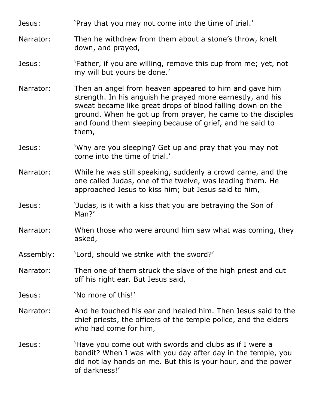- Jesus: 'Pray that you may not come into the time of trial.'
- Narrator: Then he withdrew from them about a stone's throw, knelt down, and prayed,
- Jesus: 'Father, if you are willing, remove this cup from me; yet, not my will but yours be done.'
- Narrator: Then an angel from heaven appeared to him and gave him strength. In his anguish he prayed more earnestly, and his sweat became like great drops of blood falling down on the ground. When he got up from prayer, he came to the disciples and found them sleeping because of grief, and he said to them,
- Jesus: 'Why are you sleeping? Get up and pray that you may not come into the time of trial.'
- Narrator: While he was still speaking, suddenly a crowd came, and the one called Judas, one of the twelve, was leading them. He approached Jesus to kiss him; but Jesus said to him,
- Jesus: 'Judas, is it with a kiss that you are betraying the Son of Man?'
- Narrator: When those who were around him saw what was coming, they asked,
- Assembly: 'Lord, should we strike with the sword?'
- Narrator: Then one of them struck the slave of the high priest and cut off his right ear. But Jesus said,
- Jesus: 'No more of this!'
- Narrator: And he touched his ear and healed him. Then Jesus said to the chief priests, the officers of the temple police, and the elders who had come for him,
- Jesus: 'Have you come out with swords and clubs as if I were a bandit? When I was with you day after day in the temple, you did not lay hands on me. But this is your hour, and the power of darkness!'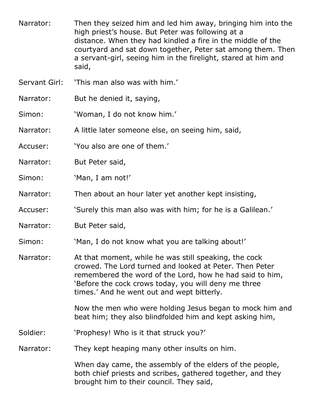- Narrator: Then they seized him and led him away, bringing him into the high priest's house. But Peter was following at a distance. When they had kindled a fire in the middle of the courtyard and sat down together, Peter sat among them. Then a servant-girl, seeing him in the firelight, stared at him and said,
- Servant Girl: 'This man also was with him.'
- Narrator: But he denied it, saying,

Simon: **Woman, I do not know him.'** 

- Narrator: A little later someone else, on seeing him, said,
- Accuser: 'You also are one of them.'
- Narrator: But Peter said,
- Simon: 'Man, I am not!'
- Narrator: Then about an hour later yet another kept insisting,
- Accuser: 'Surely this man also was with him; for he is a Galilean.'
- Narrator: But Peter said,
- Simon: 'Man, I do not know what you are talking about!'
- Narrator: At that moment, while he was still speaking, the cock crowed. The Lord turned and looked at Peter. Then Peter remembered the word of the Lord, how he had said to him, 'Before the cock crows today, you will deny me three times.' And he went out and wept bitterly.

Now the men who were holding Jesus began to mock him and beat him; they also blindfolded him and kept asking him,

- Soldier: 'Prophesy! Who is it that struck you?'
- Narrator: They kept heaping many other insults on him.

When day came, the assembly of the elders of the people, both chief priests and scribes, gathered together, and they brought him to their council. They said,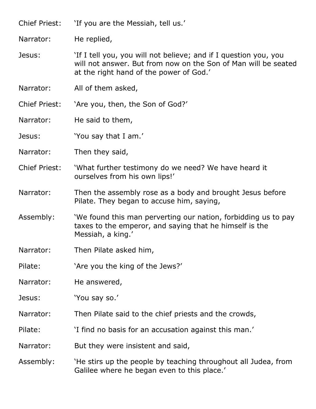| <b>Chief Priest:</b> | 'If you are the Messiah, tell us.'                                                                                                                                            |
|----------------------|-------------------------------------------------------------------------------------------------------------------------------------------------------------------------------|
| Narrator:            | He replied,                                                                                                                                                                   |
| Jesus:               | 'If I tell you, you will not believe; and if I question you, you<br>will not answer. But from now on the Son of Man will be seated<br>at the right hand of the power of God.' |
| Narrator:            | All of them asked,                                                                                                                                                            |
| <b>Chief Priest:</b> | 'Are you, then, the Son of God?'                                                                                                                                              |
| Narrator:            | He said to them,                                                                                                                                                              |
| Jesus:               | 'You say that I am.'                                                                                                                                                          |
| Narrator:            | Then they said,                                                                                                                                                               |
| <b>Chief Priest:</b> | 'What further testimony do we need? We have heard it<br>ourselves from his own lips!'                                                                                         |
| Narrator:            | Then the assembly rose as a body and brought Jesus before<br>Pilate. They began to accuse him, saying,                                                                        |
| Assembly:            | 'We found this man perverting our nation, forbidding us to pay<br>taxes to the emperor, and saying that he himself is the<br>Messiah, a king.'                                |
| Narrator:            | Then Pilate asked him,                                                                                                                                                        |
| Pilate:              | 'Are you the king of the Jews?'                                                                                                                                               |
| Narrator:            | He answered,                                                                                                                                                                  |
| Jesus:               | 'You say so.'                                                                                                                                                                 |
| Narrator:            | Then Pilate said to the chief priests and the crowds,                                                                                                                         |
| Pilate:              | 'I find no basis for an accusation against this man.'                                                                                                                         |
| Narrator:            | But they were insistent and said,                                                                                                                                             |
| Assembly:            | 'He stirs up the people by teaching throughout all Judea, from<br>Galilee where he began even to this place.'                                                                 |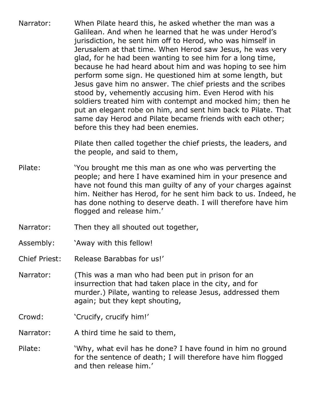Narrator: When Pilate heard this, he asked whether the man was a Galilean. And when he learned that he was under Herod's jurisdiction, he sent him off to Herod, who was himself in Jerusalem at that time. When Herod saw Jesus, he was very glad, for he had been wanting to see him for a long time, because he had heard about him and was hoping to see him perform some sign. He questioned him at some length, but Jesus gave him no answer. The chief priests and the scribes stood by, vehemently accusing him. Even Herod with his soldiers treated him with contempt and mocked him; then he put an elegant robe on him, and sent him back to Pilate. That same day Herod and Pilate became friends with each other; before this they had been enemies.

> Pilate then called together the chief priests, the leaders, and the people, and said to them,

- Pilate: 'You brought me this man as one who was perverting the people; and here I have examined him in your presence and have not found this man guilty of any of your charges against him. Neither has Herod, for he sent him back to us. Indeed, he has done nothing to deserve death. I will therefore have him flogged and release him.'
- Narrator: Then they all shouted out together,
- Assembly: 'Away with this fellow!
- Chief Priest: Release Barabbas for us!'
- Narrator: (This was a man who had been put in prison for an insurrection that had taken place in the city, and for murder.) Pilate, wanting to release Jesus, addressed them again; but they kept shouting,
- Crowd: 'Crucify, crucify him!'
- Narrator: A third time he said to them,
- Pilate: 'Why, what evil has he done? I have found in him no ground for the sentence of death; I will therefore have him flogged and then release him.'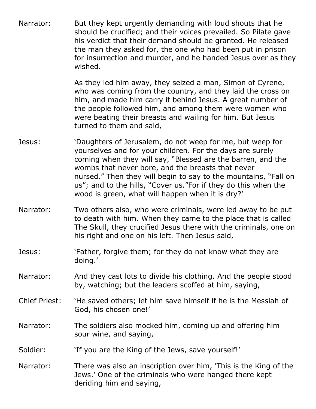Narrator: But they kept urgently demanding with loud shouts that he should be crucified; and their voices prevailed. So Pilate gave his verdict that their demand should be granted. He released the man they asked for, the one who had been put in prison for insurrection and murder, and he handed Jesus over as they wished.

> As they led him away, they seized a man, Simon of Cyrene, who was coming from the country, and they laid the cross on him, and made him carry it behind Jesus. A great number of the people followed him, and among them were women who were beating their breasts and wailing for him. But Jesus turned to them and said,

- Jesus: 'Daughters of Jerusalem, do not weep for me, but weep for yourselves and for your children. For the days are surely coming when they will say, "Blessed are the barren, and the wombs that never bore, and the breasts that never nursed." Then they will begin to say to the mountains, "Fall on us"; and to the hills, "Cover us."For if they do this when the wood is green, what will happen when it is dry?'
- Narrator: Two others also, who were criminals, were led away to be put to death with him. When they came to the place that is called The Skull, they crucified Jesus there with the criminals, one on his right and one on his left. Then Jesus said,
- Jesus: 'Father, forgive them; for they do not know what they are doing.'
- Narrator: And they cast lots to divide his clothing. And the people stood by, watching; but the leaders scoffed at him, saying,
- Chief Priest: 'He saved others; let him save himself if he is the Messiah of God, his chosen one!'
- Narrator: The soldiers also mocked him, coming up and offering him sour wine, and saying,
- Soldier: The VIF you are the King of the Jews, save yourself!'
- Narrator: There was also an inscription over him, 'This is the King of the Jews.' One of the criminals who were hanged there kept deriding him and saying,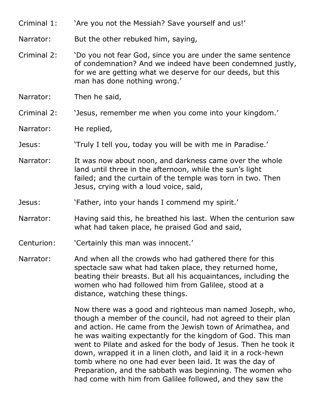Criminal 1: 'Are you not the Messiah? Save yourself and us!'

Narrator: But the other rebuked him, saying,

- Criminal 2: 'Do you not fear God, since you are under the same sentence of condemnation? And we indeed have been condemned justly, for we are getting what we deserve for our deeds, but this man has done nothing wrong.'
- Narrator: Then he said,
- Criminal 2: 'Jesus, remember me when you come into your kingdom.'
- Narrator: He replied,
- Jesus: 'Truly I tell you, today you will be with me in Paradise.'
- Narrator: It was now about noon, and darkness came over the whole land until three in the afternoon, while the sun's light failed; and the curtain of the temple was torn in two. Then Jesus, crying with a loud voice, said,
- Jesus: 'Father, into your hands I commend my spirit.'
- Narrator: Having said this, he breathed his last. When the centurion saw what had taken place, he praised God and said,
- Centurion: 'Certainly this man was innocent.'
- Narrator: And when all the crowds who had gathered there for this spectacle saw what had taken place, they returned home, beating their breasts. But all his acquaintances, including the women who had followed him from Galilee, stood at a distance, watching these things.

Now there was a good and righteous man named Joseph, who, though a member of the council, had not agreed to their plan and action. He came from the Jewish town of Arimathea, and he was waiting expectantly for the kingdom of God. This man went to Pilate and asked for the body of Jesus. Then he took it down, wrapped it in a linen cloth, and laid it in a rock-hewn tomb where no one had ever been laid. It was the day of Preparation, and the sabbath was beginning. The women who had come with him from Galilee followed, and they saw the